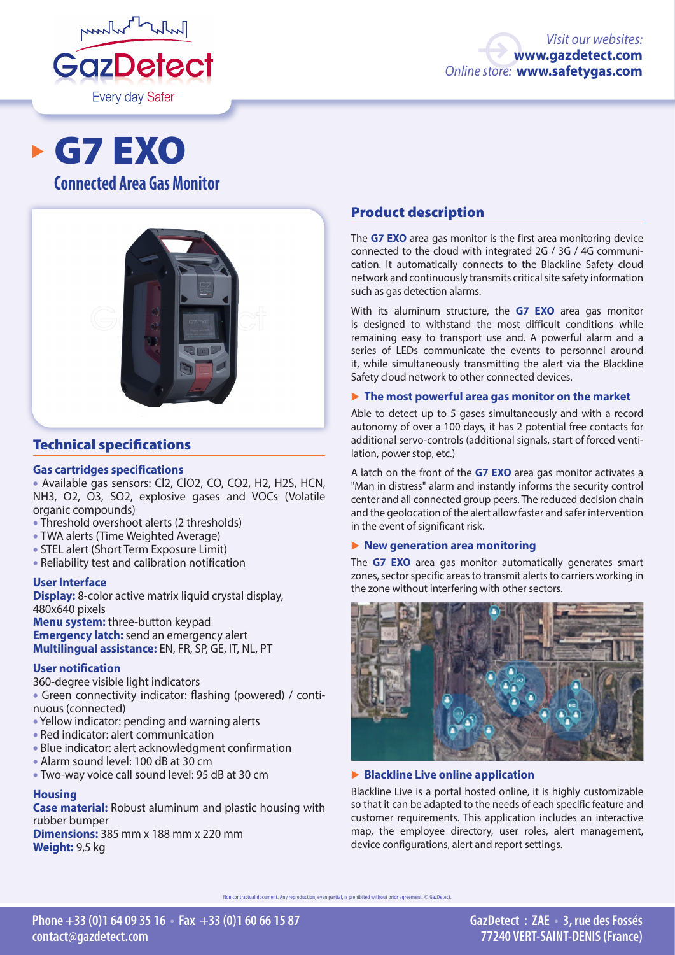

# G7 EXO





## Technical specifications

## **Gas cartridges specifications**

• Available gas sensors: Cl2, ClO2, CO, CO2, H2, H2S, HCN, NH3, O2, O3, SO2, explosive gases and VOCs (Volatile organic compounds)

- Threshold overshoot alerts (2 thresholds)
- TWA alerts (Time Weighted Average)
- STEL alert (Short Term Exposure Limit)
- Reliability test and calibration notification

#### **User Interface**

**Display:** 8-color active matrix liquid crystal display, 480x640 pixels

**Menu system:** three-button keypad **Emergency latch:** send an emergency alert **Multilingual assistance:** EN, FR, SP, GE, IT, NL, PT

## **User notification**

360-degree visible light indicators

- Green connectivity indicator: flashing (powered) / continuous (connected)
- Yellow indicator: pending and warning alerts
- Red indicator: alert communication
- Blue indicator: alert acknowledgment confirmation
- Alarm sound level: 100 dB at 30 cm
- Two-way voice call sound level: 95 dB at 30 cm

## **Housing**

**Case material:** Robust aluminum and plastic housing with rubber bumper

**Dimensions:** 385 mm x 188 mm x 220 mm **Weight:** 9,5 kg

## Product description

The **G7 EXO** area gas monitor is the first area monitoring device connected to the cloud with integrated 2G / 3G / 4G communication. It automatically connects to the Blackline Safety cloud network and continuously transmits critical site safety information such as gas detection alarms.

With its aluminum structure, the **G7 EXO** area gas monitor is designed to withstand the most difficult conditions while remaining easy to transport use and. A powerful alarm and a series of LEDs communicate the events to personnel around it, while simultaneously transmitting the alert via the Blackline Safety cloud network to other connected devices.

## � **The most powerful area gas monitor on the market**

Able to detect up to 5 gases simultaneously and with a record autonomy of over a 100 days, it has 2 potential free contacts for additional servo-controls (additional signals, start of forced ventilation, power stop, etc.)

A latch on the front of the **G7 EXO** area gas monitor activates a "Man in distress" alarm and instantly informs the security control center and all connected group peers. The reduced decision chain and the geolocation of the alert allow faster and safer intervention in the event of significant risk.

## � **New generation area monitoring**

The **G7 EXO** area gas monitor automatically generates smart zones, sector specific areas to transmit alerts to carriers working in the zone without interfering with other sectors.



## � **Blackline Live online application**

Blackline Live is a portal hosted online, it is highly customizable so that it can be adapted to the needs of each specific feature and customer requirements. This application includes an interactive map, the employee directory, user roles, alert management, device configurations, alert and report settings.

ntractual document. Any reproduction, even partial, is prohibited without prior agreement. © GazDetect